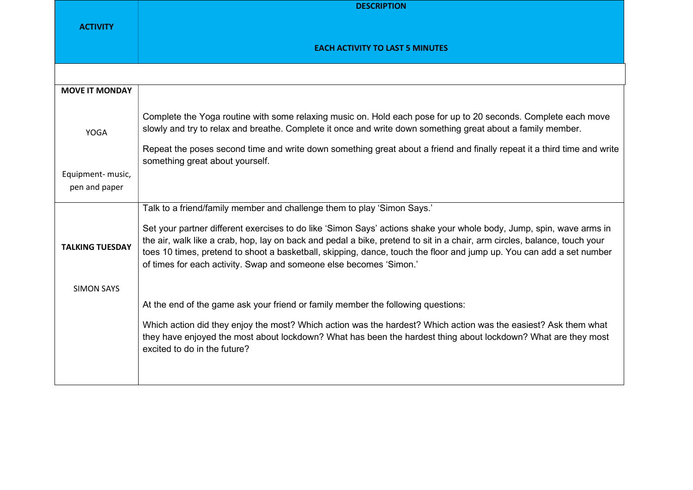|                                    | <b>DESCRIPTION</b>                                                                                                                                                                                                                                                                                                                                                                                                                              |
|------------------------------------|-------------------------------------------------------------------------------------------------------------------------------------------------------------------------------------------------------------------------------------------------------------------------------------------------------------------------------------------------------------------------------------------------------------------------------------------------|
| <b>ACTIVITY</b>                    | <b>EACH ACTIVITY TO LAST 5 MINUTES</b>                                                                                                                                                                                                                                                                                                                                                                                                          |
|                                    |                                                                                                                                                                                                                                                                                                                                                                                                                                                 |
| <b>MOVE IT MONDAY</b>              |                                                                                                                                                                                                                                                                                                                                                                                                                                                 |
| <b>YOGA</b>                        | Complete the Yoga routine with some relaxing music on. Hold each pose for up to 20 seconds. Complete each move<br>slowly and try to relax and breathe. Complete it once and write down something great about a family member.<br>Repeat the poses second time and write down something great about a friend and finally repeat it a third time and write<br>something great about yourself.                                                     |
| Equipment- music,<br>pen and paper |                                                                                                                                                                                                                                                                                                                                                                                                                                                 |
|                                    | Talk to a friend/family member and challenge them to play 'Simon Says.'                                                                                                                                                                                                                                                                                                                                                                         |
| <b>TALKING TUESDAY</b>             | Set your partner different exercises to do like 'Simon Says' actions shake your whole body, Jump, spin, wave arms in<br>the air, walk like a crab, hop, lay on back and pedal a bike, pretend to sit in a chair, arm circles, balance, touch your<br>toes 10 times, pretend to shoot a basketball, skipping, dance, touch the floor and jump up. You can add a set number<br>of times for each activity. Swap and someone else becomes 'Simon.' |
| <b>SIMON SAYS</b>                  |                                                                                                                                                                                                                                                                                                                                                                                                                                                 |
|                                    | At the end of the game ask your friend or family member the following questions:                                                                                                                                                                                                                                                                                                                                                                |
|                                    | Which action did they enjoy the most? Which action was the hardest? Which action was the easiest? Ask them what<br>they have enjoyed the most about lockdown? What has been the hardest thing about lockdown? What are they most<br>excited to do in the future?                                                                                                                                                                                |
|                                    |                                                                                                                                                                                                                                                                                                                                                                                                                                                 |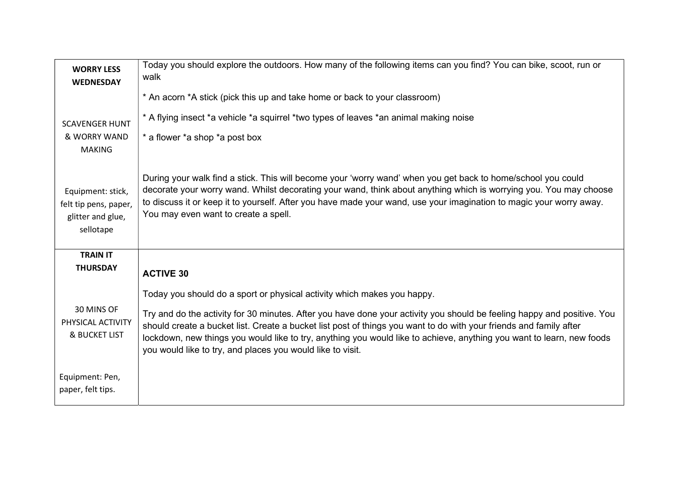| <b>WORRY LESS</b><br><b>WEDNESDAY</b>                                        | Today you should explore the outdoors. How many of the following items can you find? You can bike, scoot, run or<br>walk                                                                                                                                                                                                                                                                                                             |
|------------------------------------------------------------------------------|--------------------------------------------------------------------------------------------------------------------------------------------------------------------------------------------------------------------------------------------------------------------------------------------------------------------------------------------------------------------------------------------------------------------------------------|
|                                                                              | * An acorn *A stick (pick this up and take home or back to your classroom)                                                                                                                                                                                                                                                                                                                                                           |
| <b>SCAVENGER HUNT</b>                                                        | * A flying insect *a vehicle *a squirrel *two types of leaves *an animal making noise                                                                                                                                                                                                                                                                                                                                                |
| & WORRY WAND<br><b>MAKING</b>                                                | * a flower *a shop *a post box                                                                                                                                                                                                                                                                                                                                                                                                       |
| Equipment: stick,<br>felt tip pens, paper,<br>glitter and glue,<br>sellotape | During your walk find a stick. This will become your 'worry wand' when you get back to home/school you could<br>decorate your worry wand. Whilst decorating your wand, think about anything which is worrying you. You may choose<br>to discuss it or keep it to yourself. After you have made your wand, use your imagination to magic your worry away.<br>You may even want to create a spell.                                     |
| <b>TRAIN IT</b>                                                              |                                                                                                                                                                                                                                                                                                                                                                                                                                      |
| <b>THURSDAY</b>                                                              | <b>ACTIVE 30</b>                                                                                                                                                                                                                                                                                                                                                                                                                     |
|                                                                              | Today you should do a sport or physical activity which makes you happy.                                                                                                                                                                                                                                                                                                                                                              |
| 30 MINS OF<br>PHYSICAL ACTIVITY<br><b>&amp; BUCKET LIST</b>                  | Try and do the activity for 30 minutes. After you have done your activity you should be feeling happy and positive. You<br>should create a bucket list. Create a bucket list post of things you want to do with your friends and family after<br>lockdown, new things you would like to try, anything you would like to achieve, anything you want to learn, new foods<br>you would like to try, and places you would like to visit. |
| Equipment: Pen,<br>paper, felt tips.                                         |                                                                                                                                                                                                                                                                                                                                                                                                                                      |